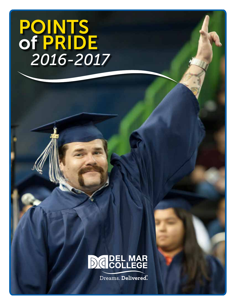### POINTS of PRIDE  *2016-2017*



Dreams. Delivered<sup>®</sup>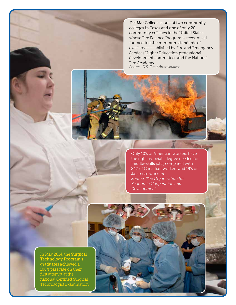Del Mar College is one of two community colleges in Texas and one of only 20 community colleges in the United States whose Fire Science Program is recognized for meeting the minimum standards of excellence established by Fire and Emergency Services Higher Education professional development committees and the National Fire Academy. *Source: U.S. Fire Administration* 



Only 10% of American workers have the right associate degree needed for middle-skills jobs, compared with 24% of Canadian workers and 19% of Japanese workers. *Source: The Organization for Economic Cooperation and Development* 

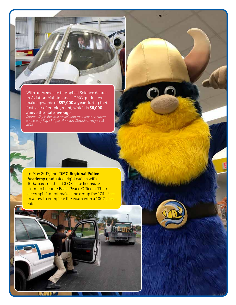With an Associate in Applied Science degree in Aviation Maintenance, DMC graduates make upwards of \$57,000 a year during their first year of employment, which is \$6,000 above the state average.

*Source: Sky is the limit on aviation maintenance career success by Saga Briggs, Houston Chronicle August 15, 2013* 

In May 2017, the **DMC Regional Police** Academy graduated eight cadets with 100% passing the TCLOE state licensure exam to become Basic Peace Officers. Their accomplishment makes the group the 17th class in a row to complete the exam with a 100% pass rate.

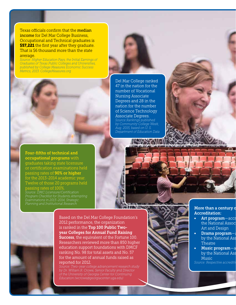Texas officials confirm that the median income for Del Mar College Business, Occupational and Technical graduates is **\$57,221** the first year after they graduate. That is \$6 thousand more than the state average.

*Source: Higher Education Pays, the Initial Earnings of Graduates of Texas Public Colleges and Universities, published by College Measures Economic Success Metrics, 2013. CollegeMeasures.org* 

> Del Mar College ranked 47 in the nation for the number of Vocational Nursing Associate Degrees and 28 in the nation for the number of Science Technology Associate Degrees.

*Source:Rankings published by Community College Week, Aug. 2015, based on U. S. Department of Education Data* 

Four-fifths of technical and occupational programs with graduates taking state licensure or certification examinations held passing rates of **90% or higher** for the 2013-2014 academic year. Twelve of those 20 programs held passing rates of 100%. *Source: DMC Licensure/Certification Program Checklist for Students Attempting* 

*Planning and Institutional Research* 





Based on the Del Mar College Foundation's 2012 performance, the organization is ranked in the Top 100 Public Twoyear Colleges for Annual Fund Raising Success, the equivalent of the Fortune 100. Researchers reviewed more than 850 higher education support foundations with DMCF ranking No. 98 for total assets and No. 57 for the amount of annual funds raised as reported for 2012.

*Education (wcrowe@georgiacenter.uga.edu)* 

### More than a century of Accreditation:

- Art program-accr the National Assoc Art and Design
- Drama program $-$ a by the National Ass Theatre
- Music program-a by the National Ass Music *Source: Respective accrediting*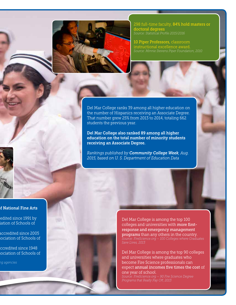

298 full-time faculty, 84% hold masters or doctoral degrees *Source: Statistical Profile 2015/2016* 

10 Piper Professors, classroom instructional excellence award. *Source: Minnie Stevens Piper Foundation, 2010* 

Del Mar College ranks 39 among all higher education on the number of Hispanics receiving an Associate Degree. That number grew 25% from 2013 to 2014, totaling 662 students the previous year.

Del Mar College also ranked 89 among all higher education on the total number of minority students receiving an Associate Degree.

*Rankings published by Community College Week, Aug. 2015, based on U. S. Department of Education Data* 

### **f National Fine Arts**

edited since 1991 by iation of Schools of

accredited since 2005 sociation of Schools of

ccredited since 1948 sociation of Schools of

*ting agencies* 

Del Mar College is among the top 100 colleges and universities with more firstresponse and emergency management programs than any others in the country. *Save Lives, 2013* 

Del Mar College is among the top 90 colleges and universities where graduates who become Fire Science professionals can expect annual incomes five times the cost of one year of school. *Source: FireScience.org – 90 Fire Science Degree Programs that Really Pay Off, 2013*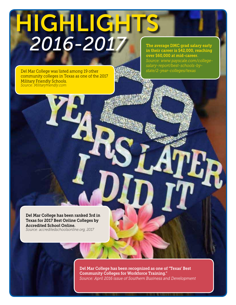## HIGHLIGHTS  *2016-2017*

Del Mar College was listed among 19 other community colleges in Texas as one of the 2017 Military Friendly Schools. *Source: Militaryfriendly.com* 

The average DMC grad salary early in their career is \$42,000, reaching over \$60,000 at mid-career. *Source: www.payscale.com/collegesalary-report/best-schools-bystate/2-year-colleges/texas* 

Del Mar College has been ranked 3rd in Texas for 2017 Best Online Colleges by Accredited School Online. *Source: accreditedschoolsonline.org, 2017* 

> Del Mar College has been recognized as one of "Texas' Best Community Colleges for Workforce Training." *Source: April 2016 issue of Southern Business and Development*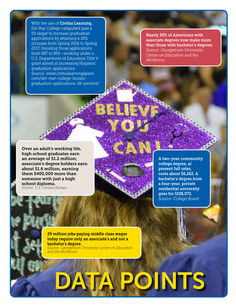With the use of **Civitas Learning**, Del Mar College catapulted past a 5% target to increase graduation applications by attaining a 26% increase from Spring 2016 to Spring 2017, boosting those applications from 687 to 865—working under a U.S. Department of Education Title V grant aimed at increasing Hispanic graduation applications. *Source: www.civitaslearningspace. com/del-mar-college-boostsgraduation-applications-26-percent/* 

Nearly 30% of Americans with associate degrees now make more than those with bachelor's degrees. *Source: Georgetown University Center on Education and the Workforce* 

Over an adult's working life, high school graduates earn an average of \$1.2 million; associate's degree holders earn about \$1.6 million, earning them \$400,000 more than someone with just a high school diploma. *Source: U.S. Census Bureau* 



A two-year community college degree, at present full rates, costs about \$6,262. A bachelor's degree from a four-year, private residential university goes for \$158,072. *Source: College Board* 

29 million jobs paying middle class wages today require only an associate's and not a bachelor's degree. *Source: Georgetown University Center on Education and the Workforce* 

# OINTS